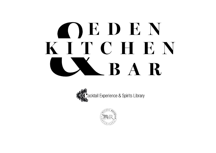# OEDEN KITCHEN LXBAR



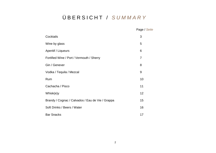## Ü B E R S I C H T / *S U M M A R Y*

|                                                  | Page / Seite |
|--------------------------------------------------|--------------|
| Cocktails                                        | 3            |
| Wine by glass                                    | 5            |
| Aperitif / Liqueurs                              | 6            |
| Fortified Wine / Port / Vermouth / Sherry        | 7            |
| Gin / Genever                                    | 8            |
| Vodka / Tequila / Mezcal                         | 9            |
| Rum                                              | 10           |
| Cachacha / Pisco                                 | 11           |
| Whisk(e)y                                        | 12           |
| Brandy / Cognac / Calvados / Eau de Vie / Grappa | 15           |
| Soft Drinks / Beers / Water                      | 16           |
| <b>Bar Snacks</b>                                | 17           |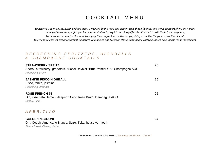## COCKTAIL MENU

*La Reserve's Eden au Lac, Zurich cocktail menu is inspired by the retro and elegant style that influential and iconic photographer Slim Aarons, managed to capture perfectly in his pictures. Embracing stylish and classy lifestyle - like the "Scotti's Yacht", and elegance, Aarons once summarized his work by saying "I photograph attractive people, doing attractive things, in attractive places". Our menu celebrates elegance through signature, reimagined and twists on classic Champagne cocktails, based on in-house made ingredients.*

### *R E F R E S H I N G S P R I T Z E R S , H I G H B A L L S & C H A M P A G N E C O C K T A I L S*

| <b>STRAWBERRY SPRITZ</b><br>Aperol, strawberry, grapefruit, Michel Reybier "Brut Premier Cru" Champagne AOC<br>Refreshing, Fruity | 25 |
|-----------------------------------------------------------------------------------------------------------------------------------|----|
| <b>JASMINE PISCO HIGHBALL</b><br>Pisco, tonka, jasmine<br>Refreshing, Aromatic                                                    | 25 |
| <b>ROSE FRENCH 75</b><br>Gin, rose petal, lemon, Jeeper "Grand Rose Brut" Champagne AOC<br>Bubbly, Floral                         | 25 |
| APERITIVO                                                                                                                         |    |
| <b>GOLDEN NEGRONI</b><br>Gin, Cocchi Americano Bianco, Suze, Tokaj house vermouth                                                 | 24 |

*Bitter - Sweet, Citrusy, Herbal*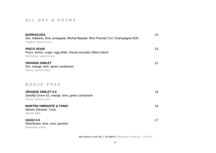### *A L L D A Y & S O U R S*

| <b>BARRACUDA</b><br>Gin, Galliano, lime, pineapple, Michel Reybier "Brut Premier Cru" Champagne AOC<br>Tropical, Sweet & Sour | 23 |
|-------------------------------------------------------------------------------------------------------------------------------|----|
| <b>PISCO SOUR</b><br>Pisco, lemon, sugar, egg white, House aromatic bitters blend<br>Refreshing, Sweet & Sour                 | 23 |
| <b>ORANGE GIMLET</b><br>Gin, orange, lime, green cardamom<br>Citrusy, Sweet & Sour                                            | 22 |
| BOOZE FREE                                                                                                                    |    |
| <b>ORANGE GIMLET 0.0</b><br>Seedlip Grove 42, orange, lime, green cardamom<br>Citrusy, Sweet & Sour                           | 18 |
| <b>MARTINI VIBRANTE &amp; TONIC</b><br>Martini Vibrante, Tonic<br>Aperitif, Bitter                                            | 16 |
| <b>HUGO 0.0</b><br>Elderflower, lime, mint, jasmine<br>Refreshing, Floral                                                     | 17 |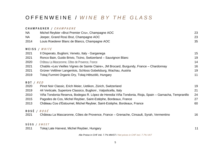## O F F E N W E I N E / *W I N E B Y T H E G L A S S*

|                    | CHAMPAGNER / CHAMPAGNE                                                                                 |    |
|--------------------|--------------------------------------------------------------------------------------------------------|----|
| <b>NA</b>          | Michel Reybier «Brut Premier Cru», Champagne AOC                                                       | 23 |
| <b>NA</b>          | Jeeper, Grand Rosé Brut, Champagne AOC                                                                 | 23 |
| 2014               | Louis Roederer Blanc de Blancs, Champagne AOC                                                          | 35 |
|                    | WEISS / WHITE                                                                                          |    |
| 2021               | Il Disperato, Buglioni, Veneto, Italy - Garganega                                                      | 15 |
| 2021               | Ronco Bain, Guido Brivio, Ticino, Switzerland - Sauvignon Blanc                                        | 19 |
| 2020               | Château La Mascaronne, Côtes de Provence, France                                                       | 14 |
| 2021               | Chablis «Les Vieilles Vignes de Sainte Claire», JM Brocard, Burgundy, France - Chardonnay              | 16 |
| 2021               | Grüner Veltliner Langenlois, Schloss Gobelsburg, Wachau, Austria                                       | 19 |
| 2019               | Tokaj Furmint Organic Dry, Tokaj-Hètszölö, Hungary                                                     | 11 |
| ROT / RED          |                                                                                                        |    |
| 2020               | Pinot Noir Classic, Erich Meier, Uetikon, Zürich, Switzerland                                          | 19 |
| 2019               | 44 Verticale, Superiore Classico, Buglioni, Valpolicella, Italy                                        | 21 |
| 2010               | Viña Tondonia Reserva, Bodegas R. López de Heredia Viña Tondonia, Rioja, Spain – Garnacha, Tempranillo | 24 |
| 2015               | Pagodes de Cos, Michel Reybier, Saint-Estèphe, Bordeaux, France                                        | 27 |
| 2013               | Château Cos d'Estournel, Michel Reybier, Saint-Estèphe, Bordeaux, France                               | 60 |
| ROSÉ / <i>ROSÉ</i> |                                                                                                        |    |
| 2021               | Château La Mascaronne, Côtes de Provence, France – Grenache, Cinsault, Syrah, Vermentino               | 16 |
| SÜSS / SWEET       |                                                                                                        |    |
| 2011               | Tokaj Late Harvest, Michel Reybier, Hungary                                                            | 11 |
|                    |                                                                                                        |    |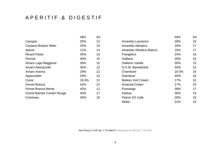## A P E R I T I F & D I G E S T I F

|                                   | ABV   | 4cl             |
|-----------------------------------|-------|-----------------|
| Campari                           | 25%   | 12              |
| Carpano Botanic Bitter            | 25%   | 15              |
| Aperol                            | 11%   | 13              |
| <b>Ricard Pastis</b>              | 45%   | 15              |
| Pernod                            | 40%   | 15              |
| Amaro Lago Maggione               | 30%   | 15              |
| Amaro Ramazzotti                  | 30%   | 12 <sup>2</sup> |
| Amaro Averna                      | 29%   | 12              |
| Appenzeller                       | 29%   | 13              |
| Cynar                             | 16.5% | 12              |
| <b>Fernet Branca</b>              | 42%   | 12              |
| Fernet Branca Menta               | 42%   | 12              |
| <b>Grand Marnier Cordon Rouge</b> | 40%   | 17              |
| Cointreau                         | 40%   | 16              |

|                                   | <b>ABV</b> | 4cl |                            | <b>ABV</b> | 4cl |
|-----------------------------------|------------|-----|----------------------------|------------|-----|
| Campari                           | 25%        | 12  | Amaretto Lazzaroni         | 28%        | 15  |
| Carpano Botanic Bitter            | 25%        | 15  | Amaretto Adriatico         | 16%        | 17  |
| Aperol                            | 11%        | 13  | Amaretto Adriatico Bianco  | 16%        | 17  |
| <b>Ricard Pastis</b>              | 45%        | 15  | Frangelico                 | 24%        | 16  |
| Pernod                            | 40%        | 15  | Galliano                   | 30%        | 15  |
| Amaro Lago Maggione               | 30%        | 15  | Galliano Vanilla           | 30%        | 15  |
| Amaro Ramazzotti                  | 30%        | 12  | D.O.M. Benedictine         | 40%        | 15  |
| Amaro Averna                      | 29%        | 12  | Chambord                   | 16.5%      | 16  |
| Appenzeller                       | 29%        | 13  | <b>Drambuie</b>            | 40%        | 16  |
| Cynar                             | 16.5%      | 12  | <b>Baileys Irish Cream</b> | 17%        | 15  |
| Fernet Branca                     | 42%        | 12  | Amarula Cream              | 17%        | 15  |
| Fernet Branca Menta               | 42%        | 12  | Pussanga                   | 38%        | 17  |
| <b>Grand Marnier Cordon Rouge</b> | 40%        | 17  | Kahlua                     | 36%        | 15  |
| Cointreau                         | 40%        | 16  | Patron XO Cafe             | 25%        | 19  |
|                                   |            |     | Midori                     | 21%        | 15  |
|                                   |            |     |                            |            |     |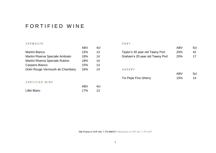## FORTIFIED WINE

### V E R M O U T H P O R T

|                                  | AD V | 46 |
|----------------------------------|------|----|
| <b>Martini Bianco</b>            | 15%  | 13 |
| Martini Riserva Speciale Ambrato | 18%  | 14 |
| Martini Riserva Speciale Rubino  | 18%  | 14 |
| Carpano Bianco                   | 15%  | 13 |
| Dolin Rouge Vermouth de Chambery | 16%  | 14 |

### FORTIFIED WINE

| <b>Lillet Blanc</b> | 17% | 13 |
|---------------------|-----|----|
|                     |     |    |

|                                  | ABV | 4cl |                                 | ABV | 5cl |
|----------------------------------|-----|-----|---------------------------------|-----|-----|
| Martini Bianco                   | 15% |     | Taylor's 30 year old Tawny Port | 20% | 42  |
| Martini Riserva Speciale Ambrato | 18% | 14  | Graham's 20 year old Tawny Port | 20% |     |

### $SHERRY$

|                      | ABV | 5cl |
|----------------------|-----|-----|
| Tio Pepe Fino Sherry | 15% | 14  |

Alle Preise in CHF inkl. 7.7% MWST / *Net prices in CHF incl. 7.7% VAT*

ABV 4cl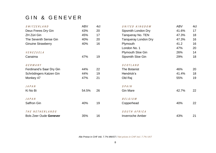## GIN & GENEVER

| SWITZERLAND                   | <b>ABV</b> | 4cl | UNITED KINGDOM              | <b>ABV</b> | 4cl |
|-------------------------------|------------|-----|-----------------------------|------------|-----|
| Deux Freres Dry Gin           | 43%        | 20  | Sipsmith London Dry         | 41.6%      | 17  |
| ZH Züri Gin                   | 45%        | 17  | Tanqueray No. TEN           | 47.3%      | 18  |
| The Seventh Sense Gin         | 40%        | 20  | <b>Tanqueray London Dry</b> | 47.3%      | 16  |
| <b>Ginuine Strawberry</b>     | 40%        | 16  | Plymouth                    | 41.2       | 16  |
|                               |            |     | London No. 1                | 47%        | 20  |
| VENEZUELA                     |            |     | <b>Plymouth Sloe Gin</b>    | 26%        | 14  |
| Canaima                       | 47%        | 19  | Sipsmith Sloe Gin           | 29%        | 18  |
| GERMANY                       |            |     | SCOTLAND                    |            |     |
| Ferdinand's Saar Dry Gin      | 44%        | 22  | The Botanist                | 46%        | 20  |
| Schrödingers Katzen Gin       | 44%        | 19  | Hendrick's                  | 41.4%      | 18  |
| Monkey 47                     | 47%        | 21  | Old Raj                     | 55%        | 19  |
| <b>JAPAN</b>                  |            |     | SPAIN                       |            |     |
| Ki No Bi                      | 54.5%      | 26  | <b>Gin Mare</b>             | 42.7%      | 22  |
| <b>JAPAN</b>                  |            |     | BELGIUM                     |            |     |
| Saffron Gin                   | 40%        | 19  | Copperhead                  | 40%        | 22  |
| THE NETHERLANDS               |            |     | SOUTH AFRICA                |            |     |
| <b>Bols Zeer Oude Genever</b> | 35%        | 16  | <b>Inverroche Amber</b>     | 43%        | 21  |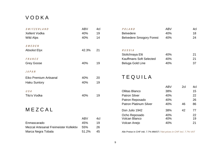## V O D K A

| SWITZERLAND                            | <b>ABV</b> | 4cl | POLAND                                                                | <b>ABV</b> |     | 4cl |
|----------------------------------------|------------|-----|-----------------------------------------------------------------------|------------|-----|-----|
| <b>Xellent Vodka</b>                   | 40%        | 19  | <b>Belvedere</b>                                                      | 40%        |     | 18  |
| <b>Wild Alps</b>                       | 40%        | 14  | <b>Belvedere Smogory Forest</b>                                       | 40%        |     | 24  |
| SWEDEN                                 |            |     |                                                                       |            |     |     |
| <b>Absolut Elyx</b>                    | 42.3%      | 21  | RUSSIA                                                                |            |     |     |
|                                        |            |     | Stolichnaya Elit                                                      | 40%        |     | 21  |
| FRANCE                                 |            |     | <b>Kauffmans Soft Selected</b>                                        | 40%        |     | 21  |
| Grey Goose                             | 40%        | 19  | <b>Beluga Gold Line</b>                                               | 40%        |     | 37  |
| JAPAN                                  |            |     |                                                                       |            |     |     |
| Eiko Premium Artisanal                 | 40%        | 20  | <b>TEQUILA</b>                                                        |            |     |     |
| <b>Haku Suntory</b>                    | 40%        | 19  |                                                                       |            |     |     |
|                                        |            |     |                                                                       | <b>ABV</b> | 2cl | 4cl |
| USA                                    |            |     | <b>Ollitas Blanco</b>                                                 | 38%        |     | 15  |
| Tito's Vodka                           | 40%        | 19  | <b>Patron Silver</b>                                                  | 40%        |     | 22  |
|                                        |            |     | Patron Reposado                                                       | 40%        |     | 26  |
|                                        |            |     | <b>Patron Platinum Silver</b>                                         | 40%        | 46  | 86  |
| MEZCAL                                 |            |     | Don Julio 1942                                                        | 38%        | 42  | 77  |
|                                        |            |     | Ocho Reposado                                                         | 40%        |     | 22  |
|                                        | <b>ABV</b> | 4cl | Volcan Blanco                                                         | 40%        |     | 19  |
| Enmascarado                            | 45%        | 19  | Volcan Anejo                                                          | 40%        |     | 21  |
| Mezcal Artesanal Freimeister Kollektiv | 55%        | 26  |                                                                       |            |     |     |
| Marca Negra Tobala                     | 51.2%      | 45  | Alle Preise in CHF inkl. 7.7% MWST / Net prices in CHF incl. 7.7% VAT |            |     |     |
|                                        |            |     |                                                                       |            |     |     |

 $\frac{4 \text{cl}}{15}$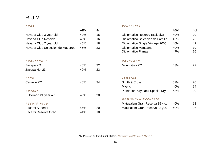## R U M

|                                   | ABV | 4cl |                                       | ABV | 4c |
|-----------------------------------|-----|-----|---------------------------------------|-----|----|
| Havana Club 3 year old            | 40% | 15  | Diplomatico Reserva Exclusiva         | 40% | 20 |
| Havana Club Reserva               | 40% | 16  | Diplomatico Seleccion de Familia      | 43% | 26 |
| Havana Club 7 year old            | 40% | 18  | Diplomatico Single Vintage 2005       | 40% | 42 |
| Havana Club Seleccion de Maestros | 45% | 23  | Diplomatico Mantuano                  | 40% | 19 |
|                                   |     |     | <b>Diplomatico Planas</b>             | 47% | 16 |
| <b>GUADELOUPE</b>                 |     |     | <b>BARBADOS</b>                       |     |    |
| Zacapa XO                         | 40% | 32  | Mount Gay XO                          | 43% | 22 |
| Zacapa No. 23                     | 40% | 23  |                                       |     |    |
| PERU                              |     |     | <b>JAMAICA</b>                        |     |    |
| Cartavio XO                       | 40% | 34  | Smith & Cross                         | 57% | 20 |
|                                   |     |     | Myer's                                | 40% | 14 |
| GUYANA                            |     |     | <b>Plantation Xaymaca Special Dry</b> | 43% | 20 |
| El Dorado 21 year old             | 43% | 28  |                                       |     |    |
|                                   |     |     | DOMINICAN REPUBLIC                    |     |    |
| PUERTO RICO                       |     |     | Matusalem Gran Reserva 15 y.o.        | 40% | 18 |
| <b>Bacardi Superior</b>           | 44% | 20  | Matusalem Gran Reserva 23 y.o.        | 40% | 26 |
| Bacardi Reserva Ocho              | 44% | 18  |                                       |     |    |

### C U B A V E N E Z U E L A

| ABV  | 4cl |                                       | <b>ABV</b> | 4cl |
|------|-----|---------------------------------------|------------|-----|
| 40%  | 15  | Diplomatico Reserva Exclusiva         | 40%        | 20  |
| 40%  | 16  | Diplomatico Seleccion de Familia      | 43%        | 26  |
| 40%  | 18  | Diplomatico Single Vintage 2005       | 40%        | 42  |
| 45%  | 23  | Diplomatico Mantuano                  | 40%        | 19  |
|      |     | Diplomatico Planas                    | 47%        | 16  |
|      |     | <b>BARBADOS</b>                       |            |     |
| 40%  | 32  | Mount Gay XO                          | 43%        | 22  |
| 40%  | 23  |                                       |            |     |
|      |     | <b>JAMAICA</b>                        |            |     |
| 40%  | 34  | <b>Smith &amp; Cross</b>              | 57%        | 20  |
|      |     | Myer's                                | 40%        | 14  |
|      |     | <b>Plantation Xaymaca Special Dry</b> | 43%        | 20  |
| 43%  | 28  |                                       |            |     |
|      |     | DOMINICAN REPUBLIC                    |            |     |
|      |     | Matusalem Gran Reserva 15 y.o.        | 40%        | 18  |
| 44%  | 20  | Matusalem Gran Reserva 23 y.o.        | 40%        | 26  |
| 11%. | 1 R |                                       |            |     |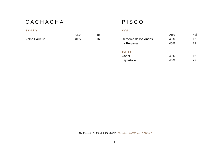## C A C H A C H A C H A C H A C H A C H A C H A C O

### B R A S I L P E R U

Velho Barreiro 40% 16 Demonio de los Andes 40% 17

| ABV | 4cl |                      | <b>ABV</b> | 4cl |
|-----|-----|----------------------|------------|-----|
| 40% | 16  | Demonio de los Andes | 40%        | 17  |
|     |     | La Peruana           | 40%        | 21  |
|     |     | CHILE                |            |     |
|     |     | Capel                | 40%        | 16  |
|     |     | Lapostolle           | 40%        | 22  |
|     |     |                      |            |     |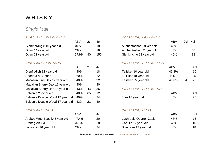## **WHISKY**

### *Single Malt*

### S C O T L A N D, H I G H L A N D S S C O T L A N D O S C O T L A N D O S S C O T L A N D O S

|                                  | , <b>, ,</b> , | ⊷   | וטד |                          | , <b>, ,</b> , | ⊷  | ᠇ण  |
|----------------------------------|----------------|-----|-----|--------------------------|----------------|----|-----|
| Glenmorangie 10 year old         | 40%            |     | 18  | Auchentoshan 18 year old | 43%            |    | 32  |
| Oban 14 year old                 | 43%            |     | 18  | Auchentoshan 21 year old | 43%            |    | 40  |
| Oban 21 year old                 | 57,9%          | 80  | 150 | Glenkinchie 12 year old  | 40%            |    | 18  |
| SCOTLAND, SPEYSIDE               |                |     |     | SCOTLAND, ISLE OF SKYE   |                |    |     |
|                                  | <b>ABV</b>     | 2cl | 4cl |                          | <b>ABV</b>     |    | 4cl |
| Glenfiddich 12 year old          | 40%            |     | 18  | Talisker 10 year old     | 45,8%          |    | 16  |
| Aberlour A'Bunadh                | 60%            |     | 22  | Talisker 18 year old     | 45%            |    | 45  |
| Macallan Fine Oak 12 year old    | 40%            |     | 22  | Talisker 25 year old     | 45,8%          | 34 | 75  |
| Macallan Sherry Oak 12 year old  | 40%            |     | 30  |                          |                |    |     |
| Macallan Sherry Oak 18 year old  | 43%            | 43  | 86  | SCOTLAND, ISLE OF JURA   |                |    |     |
| Balvenie 25 year old             | 40%            | 65  | 120 |                          | <b>ABV</b>     |    | 4cl |
| Balvenie Double Wood 12 year old | 40%            | 14  | 24  | Jura 18 year old         | 45%            |    | 25  |
| Balvenie Double Wood 17 year old | 43%            | 21  | 40  |                          |                |    |     |
|                                  |                |     |     |                          |                |    |     |

### $SCOTLAND, ISLAY$   $S$

| Ardbeg Wee Beastie 5 year old | 47,4% |
|-------------------------------|-------|
| Ardbeg An Oa                  | 46,6% |
| Lagavulin 16 year old         | 43%   |

|                                  | ABV        | 2cl | 4cl |                               | <b>ABV</b> | 2cl | 4cl |
|----------------------------------|------------|-----|-----|-------------------------------|------------|-----|-----|
| Glenmorangie 10 year old         | 40%        |     | 18  | Auchentoshan 18 year old      | 43%        |     | 32  |
| Oban 14 year old                 | 43%        |     | 18  | Auchentoshan 21 year old      | 43%        |     | 40  |
| Oban 21 year old                 | 57,9%      | 80  | 150 | Glenkinchie 12 year old       | 40%        |     | 18  |
| SCOTLAND, SPEYSIDE               |            |     |     | SCOTLAND, ISLE OF SKYE        |            |     |     |
|                                  | <b>ABV</b> | 2cl | 4cl |                               | <b>ABV</b> |     | 4cl |
| Glenfiddich 12 year old          | 40%        |     | 18  | Talisker 10 year old          | 45,8%      |     | 16  |
| Aberlour A'Bunadh                | 60%        |     | 22  | Talisker 18 year old          | 45%        |     | 45  |
| Macallan Fine Oak 12 year old    | 40%        |     | 22  | Talisker 25 year old          | 45,8%      | 34  | 75  |
| Macallan Sherry Oak 12 year old  | 40%        |     | 30  |                               |            |     |     |
| Macallan Sherry Oak 18 year old  | 43%        | 43  | 86  | SCOTLAND, ISLE OF JURA        |            |     |     |
| Balvenie 25 year old             | 40%        | 65  | 120 |                               | <b>ABV</b> |     | 4cl |
| Balvenie Double Wood 12 year old | 40%        | 14  | 24  | Jura 18 year old              | 45%        |     | 25  |
| Balvenie Double Wood 17 year old | 43%        | 21  | 40  |                               |            |     |     |
| SCOTLAND, ISLAY                  |            |     |     | SCOTLAND, ISLAY               |            |     |     |
|                                  | <b>ABV</b> |     | 4cl |                               | <b>ABV</b> |     | 4cl |
| Ardbeg Wee Beastie 5 year old    | 47,4%      |     | 20  | <b>Laphroaig Quarter Cask</b> | 48%        |     | 16  |
| Ardbeg An Oa                     | 46,6%      |     | 28  | Caol Ila 12 year old          | 43%        |     | 16  |
| Lagavulin 16 year old            | 43%        |     | 24  | Bowmore 12 year old           | 40%        |     | 18  |
|                                  |            |     |     |                               |            |     |     |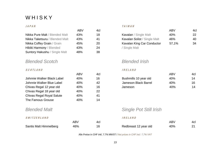## **WHISKY**

|                                      | ABV | 4CL |                     |
|--------------------------------------|-----|-----|---------------------|
| Nikka Pure Malt / Blended Malt       | 43% | 18  | Kavalan / Sii       |
| Nikka Taketsuru / Blended Malt       | 43% | 41  | <b>Kavalan Soli</b> |
| Nikka Coffey Grain / Grain           | 45% | 20  | Kavalan King        |
| Hibiki Harmony / Blended             | 43% | 24  | / Single Malt       |
| <b>Suntory Hakushu / Single Malt</b> | 48% | 38  |                     |
|                                      |     |     |                     |

### *Blended Scotch Blended Irish*

### S C O T L A N D I R E L A N D

|                                  | / ∖ ( ∨    | וטד |                               | / N DV     | ᠇୰ |
|----------------------------------|------------|-----|-------------------------------|------------|----|
| Johnnie Walker Black Label       | 40%        | 16  | Bushmills 10 year old         | 40%        | 14 |
| Johnnie Walker Blue Label        | 40%        | 42  | Jameson Black Barrel          | 40%        | 16 |
| Chivas Regal 12 year old         | 40%        | 16  | Jameson                       | 40%        | 14 |
| Chivas Regal 18 year old         | 40%        | 22  |                               |            |    |
| <b>Chivas Regal Royal Salute</b> | 40%        | 41  |                               |            |    |
| The Famous Grouse                | 40%        | 14  |                               |            |    |
| <b>Blended Malt</b>              |            |     | <b>Single Pot Still Irish</b> |            |    |
| SWITZERLAND                      |            |     | IRELAND                       |            |    |
|                                  | <b>ABV</b> | 4cl |                               | <b>ABV</b> | 4c |
| Santis Malt Himmelberg           | 46%        | 16  | Redbreast 12 year old         | 40%        | 21 |

### $JAPAN$   $TAI WAN$

| ABV | 4cl |                              | ABV   | 4cl             |
|-----|-----|------------------------------|-------|-----------------|
| 43% | 18  | <b>Kavalan</b> / Single Malt | 40%   | 22 <sub>2</sub> |
| 43% | 41  | Kavalan Solist / Single Malt | 46%   | 40              |
| 45% | 20  | Kavalan King Car Conductor   | 57,1% | 34              |
| 43% | 24  | / Single Malt                |       |                 |
|     |     |                              |       |                 |

| ABV | 4cl |                       | <b>ABV</b> | 4cl |
|-----|-----|-----------------------|------------|-----|
| 40% | 16  | Bushmills 10 year old | 40%        | 14  |
| 40% | 42  | Jameson Black Barrel  | 40%        | 16  |
| 40% | 16  | Jameson               | 40%        | 14  |
|     |     |                       |            |     |

### *Blended Malt Single Pot Still Irish*

### $IRELAND$

|                        |     |                       |     | 4cl |
|------------------------|-----|-----------------------|-----|-----|
| Santis Malt Himmelberg | 46% | Redbreast 12 year old | 40% |     |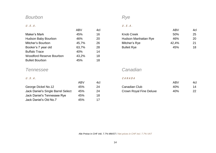### *Bourbon Rye*

|                                 | ABV   | 4CI |
|---------------------------------|-------|-----|
| Maker's Mark                    | 45%   | 16  |
| <b>Hudson Baby Bourbon</b>      | 46%   | 20  |
| Mitcher's Bourbon               | 45,7% | 26  |
| Booker's 7 year old             | 63,7% | 28  |
| <b>Buffalo Trace</b>            | 40%   | 14  |
| <b>Woodford Reserve Bourbon</b> | 43,2% | 18  |
| <b>Bulleit Bourbon</b>          | 45%   | 18  |

### *Tennessee Canadian*

|                                    | ABV | 4cl |                                | ABV | 4c |
|------------------------------------|-----|-----|--------------------------------|-----|----|
| George Dickel No.12                | 45% | 24  | Canadian Club                  | 40% | 14 |
| Jack Daniel's Single Barrel Select | 45% | 24  | <b>Crown Royal Fine Deluxe</b> | 40% | 22 |
| Jack Daniel's Tennessee Rye        | 45% | 18  |                                |     |    |
| Jack Daniel's Old No.7             | 45% |     |                                |     |    |

### $U.S.A.$   $U.S.A.$

| <b>ABV</b> | 4cl |                      | <b>ABV</b> | 4cl |
|------------|-----|----------------------|------------|-----|
| 45%        | 16  | <b>Knob Creek</b>    | 50%        | 25  |
| 46%        | 20  | Hudson Manhattan Rye | 46%        | 20  |
| 45,7%      | 26  | Mitcher's Rye        | 42,4%      | 21  |
| 63.7%      | 28  | <b>Bulleit Rye</b>   | 45%        | 18  |
|            |     |                      |            |     |

### $U.S.A.$

|                                    | AB\ | 4cl |                                | ABV | 4cl |
|------------------------------------|-----|-----|--------------------------------|-----|-----|
| George Dickel No.12                | 45% |     | Canadian Club                  | 40% | 14  |
| Jack Daniel's Single Barrel Select | 45% |     | <b>Crown Royal Fine Deluxe</b> | 40% |     |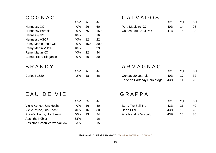|                               | AD V | ∠⊍  | ฯ⊍เ |
|-------------------------------|------|-----|-----|
| Hennessy XO                   | 40%  | 26  | 50  |
| <b>Hennessy Paradis</b>       | 40%  | 76  | 150 |
| <b>Hennessy VS</b>            | 40%  |     | 16  |
| <b>Hennessy VSOP</b>          | 40%  | 12  | 22  |
| <b>Remy Martin Louis XIII</b> | 40%  | 150 | 300 |
| <b>Remy Martin VSOP</b>       | 40%  |     | 23  |
| Remy Martin XO                | 40%  | 22  | 44  |
| <b>Camus Extra Elegance</b>   | 40%  | 40  | 80  |
|                               |      |     |     |

| ABV 2cl | 4              |
|---------|----------------|
| 42% 18  | 3 <sup>0</sup> |

## C O G N A C C A L V A D O S

|                  | <b>ABV</b> | 2cl | 4cl |                      | <b>ABV</b> | 2c <sub>l</sub> | 4cl |
|------------------|------------|-----|-----|----------------------|------------|-----------------|-----|
| Hennessy XO      | 40% 26     |     | 50  | Pere Magloire XO     | 40%        |                 | 26  |
| Hennessy Paradis | 40%        | 76  | 150 | Chateau du Breuil XO | 41%        |                 | 28  |

## B R A N D Y ABV 2cl 4cl A R M A G N A C

|               | ABV | 2cl  | 4cl |                                  | <b>ABV</b> | 2cl | 4cl |
|---------------|-----|------|-----|----------------------------------|------------|-----|-----|
| Carlos I 1520 | 42% | - 18 | 36  | Gensac 20 year old               | 40%        |     | 32  |
|               |     |      |     | Ferte de Partenay Hors d'Age 43% |            |     | 20  |

## E A U D E V I E GRAPPA

|                                | ABV | -201 | 4C |
|--------------------------------|-----|------|----|
| Vielle Apricot, Urs Hecht      | 40% | 16   | 30 |
| Vielle Prune, Urs Hecht        | 40% | 16   | 30 |
| Poire Williams, Urs Streuli    | 40% | 13   | 24 |
| Absinthe Kübler                | 53% |      | 16 |
| Absinthe Green Velvet Val. 340 | 53% |      | 15 |

|                             | ABV | 2cl | 4cl |                      | <b>ABV</b> | 2cl | 4cl |
|-----------------------------|-----|-----|-----|----------------------|------------|-----|-----|
| Vielle Apricot, Urs Hecht   | 40% | 16  | 30  | Berta Tre Soli Tre   | 43%        |     | 40  |
| Vielle Prune, Urs Hecht     | 40% | 16  | 30  | Berta Elisi          | 43%        | 15  | 28  |
| Poire Williams, Urs Streuli | 40% | -13 | 24  | Aldobrandini Moscato | 43%        | 16  | 36  |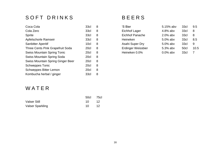## SOFT DRINKS BEERS

| 33cl             | 8 | 'S Bier                | 5.15% abv   | 33cl | 9           |
|------------------|---|------------------------|-------------|------|-------------|
| 33cl             | 8 | Eichhof Lager          | $4.8\%$ abv | 33cl | 8           |
| 33 <sub>cl</sub> | 8 | <b>Eichhof Panache</b> | $2.0\%$ abv | 33cl | 8           |
| 33cl             | 8 | <b>Heineken</b>        | $5.0\%$ abv | 33cl | 8           |
| 10 <sub>cl</sub> | 8 | Asahi Super Dry        | $5.0\%$ abv | 33cl | 9           |
| 20cl             | 8 | Erdinger Weissbier     | 5.3% abv    | 50cl | $\mathbf 1$ |
| 20cl             | 8 | Heineken 0.0%          | $0.0\%$ abv | 33cl | 7           |
| 20cl             | 8 |                        |             |      |             |
| 20cl             | 8 |                        |             |      |             |
| 20cl             | 8 |                        |             |      |             |
| 20cl             | 8 |                        |             |      |             |
| 33cl             | 8 |                        |             |      |             |
|                  |   |                        |             |      |             |

| Coca Cola                          | 33 <sub>cl</sub> | 8  | 'S Bier                   | 5.15% abv   | 33cl        | 9.5  |
|------------------------------------|------------------|----|---------------------------|-------------|-------------|------|
| Cola Zero                          | 33 <sub>cl</sub> | 8  | Eichhof Lager             | $4.8\%$ abv | 33cl        | -8   |
| Sprite                             | 33 <sub>cl</sub> | -8 | <b>Eichhof Panache</b>    | $2.0\%$ abv | 33cl        | -8   |
| Apfelschorle Ramseir               | 33 <sub>cl</sub> | -8 | Heineken                  | $5.0\%$ abv | 33cl        | 8.5  |
| <b>Sanbitter Aperitif</b>          | 10c <sub>l</sub> | -8 | Asahi Super Dry           | $5.0\%$ abv | 33cl        | 9    |
| Three Cents Pink Grapefruit Soda   | 20cl             | -8 | <b>Erdinger Weissbier</b> | $5.3\%$ abv | <b>50cl</b> | 10.5 |
| <b>Swiss Mountain Spring Tonic</b> | 20cl             | 8  | Heineken 0.0%             | $0.0\%$ abv | 33cl        |      |

## W A T E R

|                         | 50cl 75cl  |       |
|-------------------------|------------|-------|
| <b>Valser Still</b>     | $10 \t 12$ |       |
| <b>Valser Sparkling</b> | 10         | $-12$ |